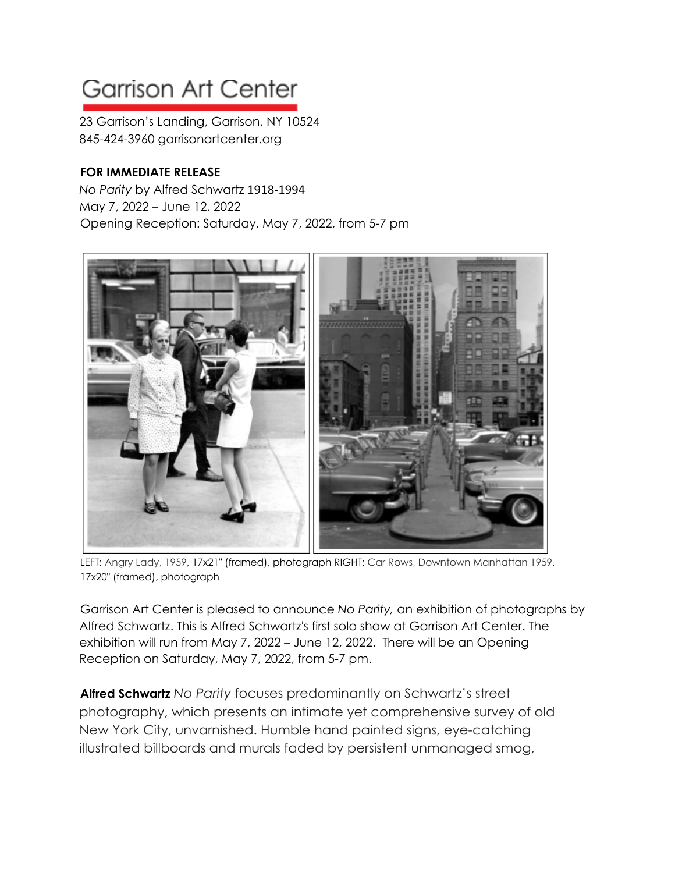## **Garrison Art Center**

23 Garrison's Landing, Garrison, NY 10524 845-424-3960 garrisonartcenter.org

## **FOR IMMEDIATE RELEASE**

*No Parity* by Alfred Schwartz 1918-1994 May 7, 2022 – June 12, 2022 Opening Reception: Saturday, May 7, 2022, from 5-7 pm



LEFT: Angry Lady, 1959, 17x21" (framed), photograph RIGHT: Car Rows, Downtown Manhattan 1959, 17x20" (framed), photograph

Garrison Art Center is pleased to announce *No Parity,* an exhibition of photographs by Alfred Schwartz. This is Alfred Schwartz's first solo show at Garrison Art Center. The exhibition will run from May 7, 2022 – June 12, 2022. There will be an Opening Reception on Saturday, May 7, 2022, from 5-7 pm.

**Alfred Schwartz** *No Parity* focuses predominantly on Schwartz's street photography, which presents an intimate yet comprehensive survey of old New York City, unvarnished. Humble hand painted signs, eye-catching illustrated billboards and murals faded by persistent unmanaged smog,